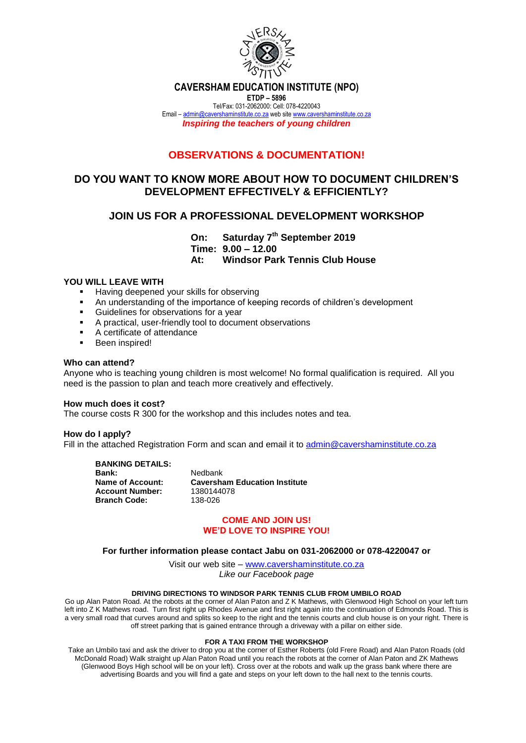

**CAVERSHAM EDUCATION INSTITUTE (NPO)**

**ETDP – 5896** Tel/Fax: 031-2062000: Cell: 078-4220043 Email – [admin@cavershaminstitute.co.za](mailto:admin@cavershaminstitute.co.za) web site [www.cavershaminstitute.co.za](http://www.cavershaminstitute.co.za/) *Inspiring the teachers of young children*

# **OBSERVATIONS & DOCUMENTATION!**

## **DO YOU WANT TO KNOW MORE ABOUT HOW TO DOCUMENT CHILDREN'S DEVELOPMENT EFFECTIVELY & EFFICIENTLY?**

## **JOIN US FOR A PROFESSIONAL DEVELOPMENT WORKSHOP**

**On: Saturday 7th September 2019 Time: 9.00 – 12.00 At: Windsor Park Tennis Club House**

## **YOU WILL LEAVE WITH**

- Having deepened your skills for observing
- An understanding of the importance of keeping records of children's development
- Guidelines for observations for a year
- A practical, user-friendly tool to document observations
- A certificate of attendance
- Been inspired!

### **Who can attend?**

Anyone who is teaching young children is most welcome! No formal qualification is required. All you need is the passion to plan and teach more creatively and effectively.

### **How much does it cost?**

The course costs R 300 for the workshop and this includes notes and tea.

### **How do I apply?**

Fill in the attached Registration Form and scan and email it to [admin@cavershaminstitute.co.za](mailto:admin@cavershaminstitute.co.za)

**BANKING DETAILS:**

**Bank:** Nedbank **Account Number:** 1380144<br>**Branch Code:** 138-026 **Branch Code:** 

**Name of Account: Caversham Education Institute<br>Account Number: 1380144078** 

### **COME AND JOIN US! WE'D LOVE TO INSPIRE YOU!**

#### **For further information please contact Jabu on 031-2062000 or 078-4220047 or**

Visit our web site – [www.cavershaminstitute.co.za](http://www.cavershaminstitute.co.za/) *Like our Facebook page*

#### **DRIVING DIRECTIONS TO WINDSOR PARK TENNIS CLUB FROM UMBILO ROAD**

Go up Alan Paton Road. At the robots at the corner of Alan Paton and Z K Mathews, with Glenwood High School on your left turn left into Z K Mathews road. Turn first right up Rhodes Avenue and first right again into the continuation of Edmonds Road. This is a very small road that curves around and splits so keep to the right and the tennis courts and club house is on your right. There is off street parking that is gained entrance through a driveway with a pillar on either side.

#### **FOR A TAXI FROM THE WORKSHOP**

Take an Umbilo taxi and ask the driver to drop you at the corner of Esther Roberts (old Frere Road) and Alan Paton Roads (old McDonald Road) Walk straight up Alan Paton Road until you reach the robots at the corner of Alan Paton and ZK Mathews (Glenwood Boys High school will be on your left). Cross over at the robots and walk up the grass bank where there are advertising Boards and you will find a gate and steps on your left down to the hall next to the tennis courts.